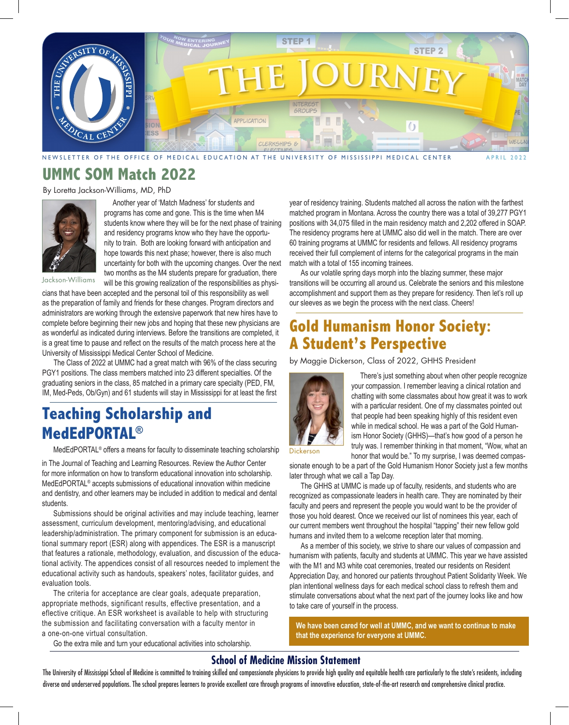

**UMMC SOM Match 2022** 

By Loretta Jackson-Williams, MD, PhD



 Another year of 'Match Madness' for students and programs has come and gone. This is the time when M4 students know where they will be for the next phase of training and residency programs know who they have the opportunity to train. Both are looking forward with anticipation and hope towards this next phase; however, there is also much uncertainty for both with the upcoming changes. Over the next two months as the M4 students prepare for graduation, there will be this growing realization of the responsibilities as physi-

Jackson-Williams

cians that have been accepted and the personal toil of this responsibility as well as the preparation of family and friends for these changes. Program directors and administrators are working through the extensive paperwork that new hires have to complete before beginning their new jobs and hoping that these new physicians are as wonderful as indicated during interviews. Before the transitions are completed, it is a great time to pause and reflect on the results of the match process here at the University of Mississippi Medical Center School of Medicine.

The Class of 2022 at UMMC had a great match with 96% of the class securing PGY1 positions. The class members matched into 23 different specialties. Of the graduating seniors in the class, 85 matched in a primary care specialty (PED, FM, IM, Med-Peds, Ob/Gyn) and 61 students will stay in Mississippi for at least the first

# **Teaching Scholarship and MedEdPORTAL®**

MedEdPORTAL® offers a means for faculty to disseminate teaching scholarship

in The Journal of Teaching and Learning Resources. Review the Author Center for more information on how to transform educational innovation into scholarship. MedEdPORTAL® accepts submissions of educational innovation within medicine and dentistry, and other learners may be included in addition to medical and dental students.

Submissions should be original activities and may include teaching, learner assessment, curriculum development, mentoring/advising, and educational leadership/administration. The primary component for submission is an educational summary report (ESR) along with appendices. The ESR is a manuscript that features a rationale, methodology, evaluation, and discussion of the educational activity. The appendices consist of all resources needed to implement the educational activity such as handouts, speakers' notes, facilitator guides, and evaluation tools.

The criteria for acceptance are clear goals, adequate preparation, appropriate methods, significant results, effective presentation, and a eflective critique. An ESR worksheet is available to help with structuring the submission and facilitating conversation with a faculty mentor in a one-on-one virtual consultation.

Go the extra mile and turn your educational activities into scholarship.

year of residency training. Students matched all across the nation with the farthest matched program in Montana. Across the country there was a total of 39,277 PGY1 positions with 34,075 filled in the main residency match and 2,202 offered in SOAP. The residency programs here at UMMC also did well in the match. There are over 60 training programs at UMMC for residents and fellows. All residency programs received their full complement of interns for the categorical programs in the main match with a total of 155 incoming trainees.

As our volatile spring days morph into the blazing summer, these major transitions will be occurring all around us. Celebrate the seniors and this milestone accomplishment and support them as they prepare for residency. Then let's roll up our sleeves as we begin the process with the next class. Cheers!

### **Gold Humanism Honor Society: A Student's Perspective**

by Maggie Dickerson, Class of 2022, GHHS President



 There's just something about when other people recognize your compassion. I remember leaving a clinical rotation and chatting with some classmates about how great it was to work with a particular resident. One of my classmates pointed out that people had been speaking highly of this resident even while in medical school. He was a part of the Gold Humanism Honor Society (GHHS)—that's how good of a person he truly was. I remember thinking in that moment, "Wow, what an honor that would be." To my surprise, I was deemed compas-

Dickerson

sionate enough to be a part of the Gold Humanism Honor Society just a few months later through what we call a Tap Day.

The GHHS at UMMC is made up of faculty, residents, and students who are recognized as compassionate leaders in health care. They are nominated by their faculty and peers and represent the people you would want to be the provider of those you hold dearest. Once we received our list of nominees this year, each of our current members went throughout the hospital "tapping" their new fellow gold humans and invited them to a welcome reception later that morning.

As a member of this society, we strive to share our values of compassion and humanism with patients, faculty and students at UMMC. This year we have assisted with the M1 and M3 white coat ceremonies, treated our residents on Resident Appreciation Day, and honored our patients throughout Patient Solidarity Week. We plan intentional wellness days for each medical school class to refresh them and stimulate conversations about what the next part of the journey looks like and how to take care of yourself in the process.

**We have been cared for well at UMMC, and we want to continue to make that the experience for everyone at UMMC.**

#### **School of Medicine Mission Statement**

The University of Mississippi School of Medicine is committed to training skilled and compassionate physicians to provide high quality and equitable health care particularly to the state's residents, including diverse and underserved populations. The school prepares learners to provide excellent care through programs of innovative education, state-of-the-art research and comprehensive clinical practice.